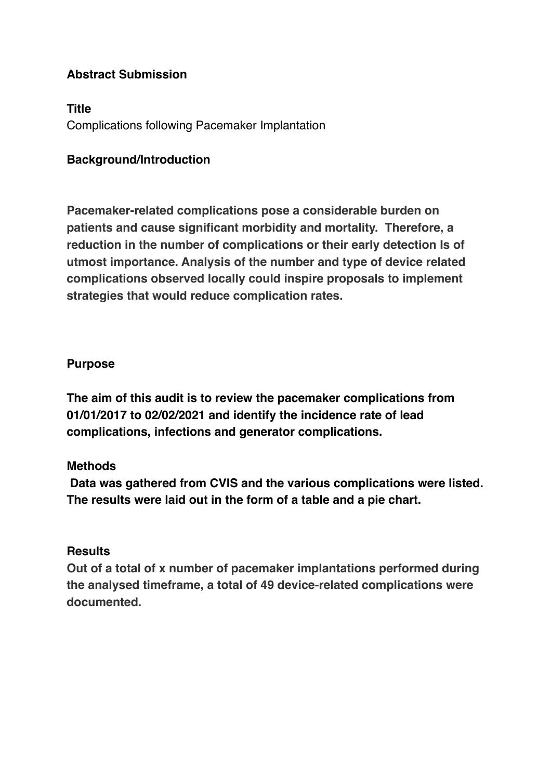## **Abstract Submission**

#### **Title**

Complications following Pacemaker Implantation

### **Background/Introduction**

**Pacemaker-related complications pose a considerable burden on patients and cause significant morbidity and mortality. Therefore, a reduction in the number of complications or their early detection Is of utmost importance. Analysis of the number and type of device related complications observed locally could inspire proposals to implement strategies that would reduce complication rates.** 

#### **Purpose**

**The aim of this audit is to review the pacemaker complications from 01/01/2017 to 02/02/2021 and identify the incidence rate of lead complications, infections and generator complications.**

#### **Methods**

 **Data was gathered from CVIS and the various complications were listed. The results were laid out in the form of a table and a pie chart.** 

#### **Results**

**Out of a total of x number of pacemaker implantations performed during the analysed timeframe, a total of 49 device-related complications were documented.**